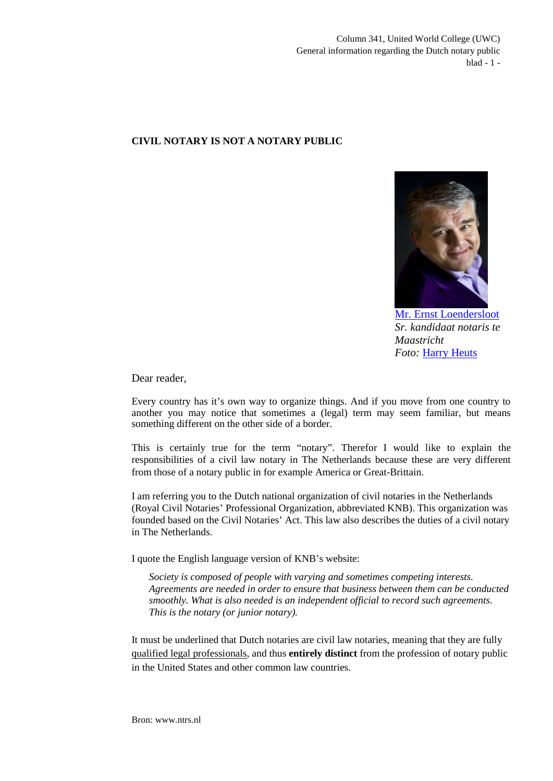Column 341, United World College (UWC) General information regarding the Dutch notary public blad - 1 -

## **CIVIL NOTARY IS NOT A NOTARY PUBLIC**



[Mr. Ernst Loendersloot](http://www.linkedin.com/pub/ernst-loendersloot/10/ab9/aaa) *Sr. kandidaat notaris te Maastricht Foto:* [Harry Heuts](http://www.linkedin.com/pub/harry-heuts/2b/497/613)

Dear reader,

Every country has it's own way to organize things. And if you move from one country to another you may notice that sometimes a (legal) term may seem familiar, but means something different on the other side of a border.

This is certainly true for the term "notary". Therefor I would like to explain the responsibilities of a civil law notary in The Netherlands because these are very different from those of a notary public in for example America or Great-Brittain.

I am referring you to the Dutch national organization of civil notaries in the Netherlands (Royal Civil Notaries' Professional Organization, abbreviated KNB). This organization was founded based on the Civil Notaries' Act. This law also describes the duties of a civil notary in The Netherlands.

I quote the English language version of KNB's website:

*Society is composed of people with varying and sometimes competing interests. Agreements are needed in order to ensure that business between them can be conducted smoothly. What is also needed is an independent official to record such agreements. This is the notary (or junior notary).*

It must be underlined that Dutch notaries are civil law notaries, meaning that they are fully qualified legal professionals, and thus **entirely distinct** from the profession of notary public in the United States and other common law countries*.*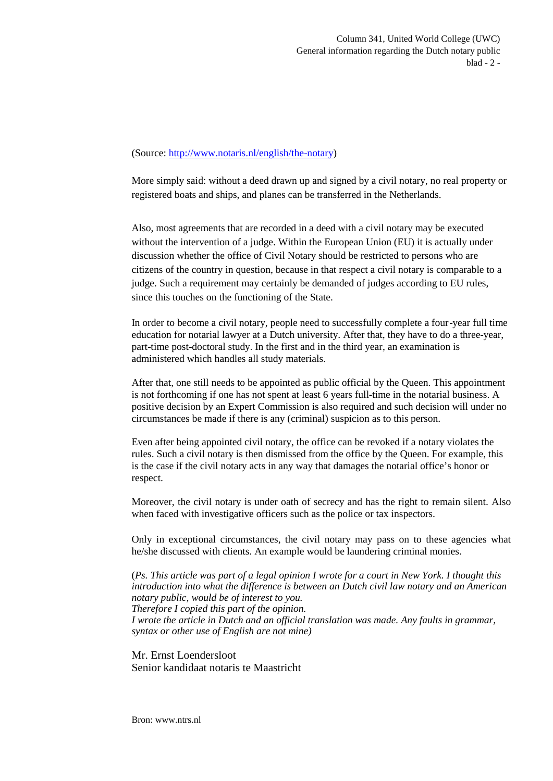## (Source:<http://www.notaris.nl/english/the-notary>)

More simply said: without a deed drawn up and signed by a civil notary, no real property or registered boats and ships, and planes can be transferred in the Netherlands.

Also, most agreements that are recorded in a deed with a civil notary may be executed without the intervention of a judge. Within the European Union (EU) it is actually under discussion whether the office of Civil Notary should be restricted to persons who are citizens of the country in question, because in that respect a civil notary is comparable to a judge. Such a requirement may certainly be demanded of judges according to EU rules, since this touches on the functioning of the State.

In order to become a civil notary, people need to successfully complete a four-year full time education for notarial lawyer at a Dutch university. After that, they have to do a three-year, part-time post-doctoral study. In the first and in the third year, an examination is administered which handles all study materials.

After that, one still needs to be appointed as public official by the Queen. This appointment is not forthcoming if one has not spent at least 6 years full-time in the notarial business. A positive decision by an Expert Commission is also required and such decision will under no circumstances be made if there is any (criminal) suspicion as to this person.

Even after being appointed civil notary, the office can be revoked if a notary violates the rules. Such a civil notary is then dismissed from the office by the Queen. For example, this is the case if the civil notary acts in any way that damages the notarial office's honor or respect.

Moreover, the civil notary is under oath of secrecy and has the right to remain silent. Also when faced with investigative officers such as the police or tax inspectors.

Only in exceptional circumstances, the civil notary may pass on to these agencies what he/she discussed with clients. An example would be laundering criminal monies.

(*Ps. This article was part of a legal opinion I wrote for a court in New York. I thought this introduction into what the difference is between an Dutch civil law notary and an American notary public, would be of interest to you. Therefore I copied this part of the opinion. I wrote the article in Dutch and an official translation was made. Any faults in grammar, syntax or other use of English are not mine)*

Mr. Ernst Loendersloot Senior kandidaat notaris te Maastricht